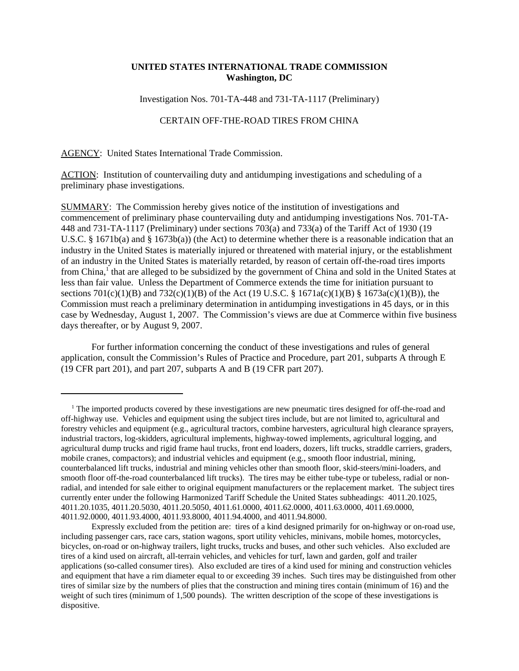## **UNITED STATES INTERNATIONAL TRADE COMMISSION Washington, DC**

Investigation Nos. 701-TA-448 and 731-TA-1117 (Preliminary)

## CERTAIN OFF-THE-ROAD TIRES FROM CHINA

AGENCY: United States International Trade Commission.

ACTION: Institution of countervailing duty and antidumping investigations and scheduling of a preliminary phase investigations.

SUMMARY: The Commission hereby gives notice of the institution of investigations and commencement of preliminary phase countervailing duty and antidumping investigations Nos. 701-TA-448 and 731-TA-1117 (Preliminary) under sections 703(a) and 733(a) of the Tariff Act of 1930 (19 U.S.C. § 1671b(a) and § 1673b(a)) (the Act) to determine whether there is a reasonable indication that an industry in the United States is materially injured or threatened with material injury, or the establishment of an industry in the United States is materially retarded, by reason of certain off-the-road tires imports from China,<sup>1</sup> that are alleged to be subsidized by the government of China and sold in the United States at less than fair value. Unless the Department of Commerce extends the time for initiation pursuant to sections 701(c)(1)(B) and 732(c)(1)(B) of the Act (19 U.S.C. § 1671a(c)(1)(B) § 1673a(c)(1)(B)), the Commission must reach a preliminary determination in antidumping investigations in 45 days, or in this case by Wednesday, August 1, 2007. The Commission's views are due at Commerce within five business days thereafter, or by August 9, 2007.

For further information concerning the conduct of these investigations and rules of general application, consult the Commission's Rules of Practice and Procedure, part 201, subparts A through E (19 CFR part 201), and part 207, subparts A and B (19 CFR part 207).

<sup>&</sup>lt;sup>1</sup> The imported products covered by these investigations are new pneumatic tires designed for off-the-road and off-highway use. Vehicles and equipment using the subject tires include, but are not limited to, agricultural and forestry vehicles and equipment (e.g., agricultural tractors, combine harvesters, agricultural high clearance sprayers, industrial tractors, log-skidders, agricultural implements, highway-towed implements, agricultural logging, and agricultural dump trucks and rigid frame haul trucks, front end loaders, dozers, lift trucks, straddle carriers, graders, mobile cranes, compactors); and industrial vehicles and equipment (e.g., smooth floor industrial, mining, counterbalanced lift trucks, industrial and mining vehicles other than smooth floor, skid-steers/mini-loaders, and smooth floor off-the-road counterbalanced lift trucks). The tires may be either tube-type or tubeless, radial or nonradial, and intended for sale either to original equipment manufacturers or the replacement market. The subject tires currently enter under the following Harmonized Tariff Schedule the United States subheadings: 4011.20.1025, 4011.20.1035, 4011.20.5030, 4011.20.5050, 4011.61.0000, 4011.62.0000, 4011.63.0000, 4011.69.0000, 4011.92.0000, 4011.93.4000, 4011.93.8000, 4011.94.4000, and 4011.94.8000.

Expressly excluded from the petition are: tires of a kind designed primarily for on-highway or on-road use, including passenger cars, race cars, station wagons, sport utility vehicles, minivans, mobile homes, motorcycles, bicycles, on-road or on-highway trailers, light trucks, trucks and buses, and other such vehicles. Also excluded are tires of a kind used on aircraft, all-terrain vehicles, and vehicles for turf, lawn and garden, golf and trailer applications (so-called consumer tires). Also excluded are tires of a kind used for mining and construction vehicles and equipment that have a rim diameter equal to or exceeding 39 inches. Such tires may be distinguished from other tires of similar size by the numbers of plies that the construction and mining tires contain (minimum of 16) and the weight of such tires (minimum of 1,500 pounds). The written description of the scope of these investigations is dispositive.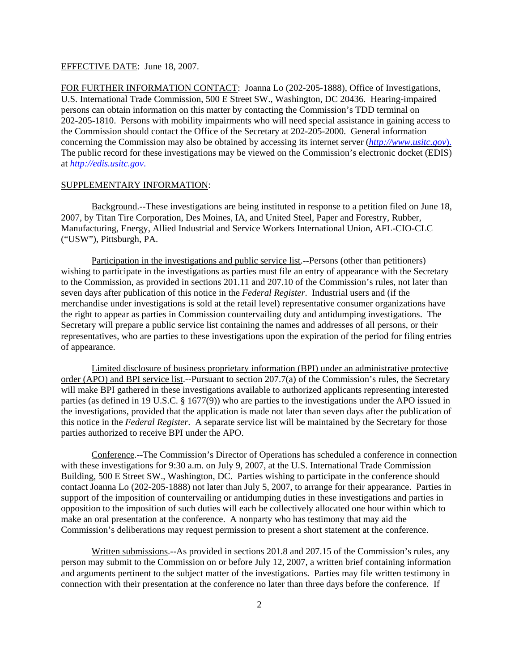## EFFECTIVE DATE: June 18, 2007.

FOR FURTHER INFORMATION CONTACT: Joanna Lo (202-205-1888), Office of Investigations, U.S. International Trade Commission, 500 E Street SW., Washington, DC 20436. Hearing-impaired persons can obtain information on this matter by contacting the Commission's TDD terminal on 202-205-1810. Persons with mobility impairments who will need special assistance in gaining access to the Commission should contact the Office of the Secretary at 202-205-2000. General information concerning the Commission may also be obtained by accessing its internet server (*http://www.usitc.gov*). The public record for these investigations may be viewed on the Commission's electronic docket (EDIS) at *http://edis.usitc.gov*.

## SUPPLEMENTARY INFORMATION:

Background.--These investigations are being instituted in response to a petition filed on June 18, 2007, by Titan Tire Corporation, Des Moines, IA, and United Steel, Paper and Forestry, Rubber, Manufacturing, Energy, Allied Industrial and Service Workers International Union, AFL-CIO-CLC ("USW"), Pittsburgh, PA.

Participation in the investigations and public service list.--Persons (other than petitioners) wishing to participate in the investigations as parties must file an entry of appearance with the Secretary to the Commission, as provided in sections 201.11 and 207.10 of the Commission's rules, not later than seven days after publication of this notice in the *Federal Register*. Industrial users and (if the merchandise under investigations is sold at the retail level) representative consumer organizations have the right to appear as parties in Commission countervailing duty and antidumping investigations. The Secretary will prepare a public service list containing the names and addresses of all persons, or their representatives, who are parties to these investigations upon the expiration of the period for filing entries of appearance.

Limited disclosure of business proprietary information (BPI) under an administrative protective order (APO) and BPI service list.--Pursuant to section 207.7(a) of the Commission's rules, the Secretary will make BPI gathered in these investigations available to authorized applicants representing interested parties (as defined in 19 U.S.C. § 1677(9)) who are parties to the investigations under the APO issued in the investigations, provided that the application is made not later than seven days after the publication of this notice in the *Federal Register*. A separate service list will be maintained by the Secretary for those parties authorized to receive BPI under the APO.

Conference.--The Commission's Director of Operations has scheduled a conference in connection with these investigations for 9:30 a.m. on July 9, 2007, at the U.S. International Trade Commission Building, 500 E Street SW., Washington, DC. Parties wishing to participate in the conference should contact Joanna Lo (202-205-1888) not later than July 5, 2007, to arrange for their appearance. Parties in support of the imposition of countervailing or antidumping duties in these investigations and parties in opposition to the imposition of such duties will each be collectively allocated one hour within which to make an oral presentation at the conference. A nonparty who has testimony that may aid the Commission's deliberations may request permission to present a short statement at the conference.

Written submissions.--As provided in sections 201.8 and 207.15 of the Commission's rules, any person may submit to the Commission on or before July 12, 2007, a written brief containing information and arguments pertinent to the subject matter of the investigations. Parties may file written testimony in connection with their presentation at the conference no later than three days before the conference. If